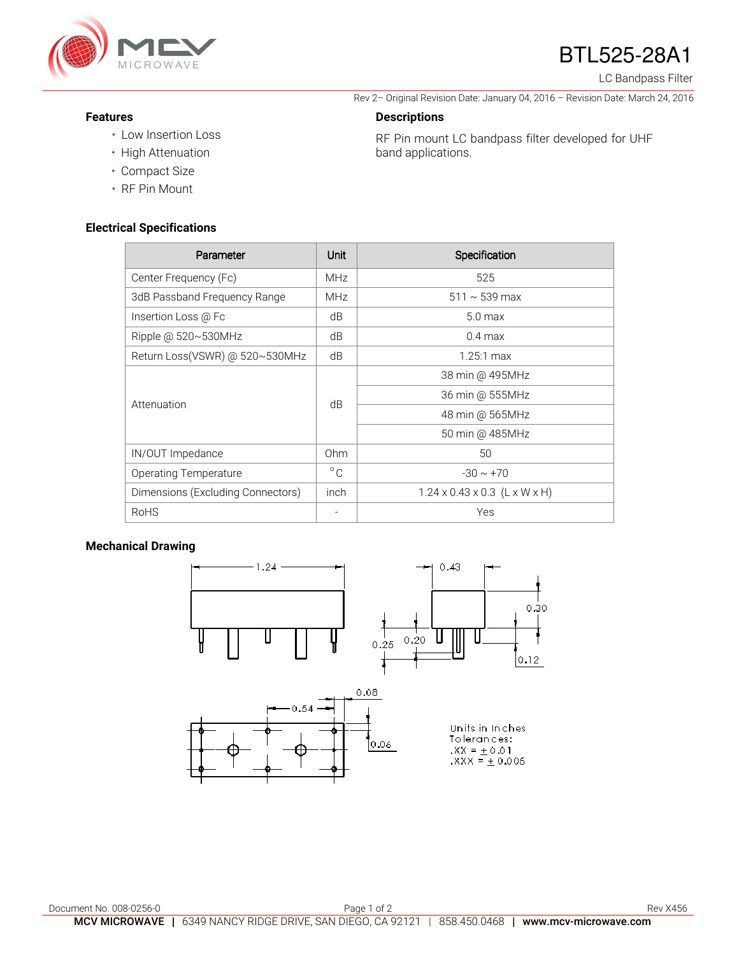

# BTL525-28A1

Rev 2– Original Revision Date: January 04, 2016 – Revision Date: March 24, 2016

RF Pin mount LC bandpass filter developed for UHF

LC Bandpass Filter

#### **Features**

- Low Insertion Loss
- High Attenuation
- Compact Size
- RF Pin Mount

#### **Electrical Specifications**

| Parameter                         | Unit         | Specification                             |
|-----------------------------------|--------------|-------------------------------------------|
| Center Frequency (Fc)             | <b>MHz</b>   | 525                                       |
| 3dB Passband Frequency Range      | <b>MHz</b>   | $511 \sim 539 \,\text{max}$               |
| Insertion Loss @ Fc               | dB           | $5.0$ max                                 |
| Ripple @ 520~530MHz               | dB           | $0.4 \text{ max}$                         |
| Return Loss(VSWR) @ 520~530MHz    | dB           | $1.25:1 \text{ max}$                      |
| Attenuation                       | dB           | 38 min @ 495MHz                           |
|                                   |              | 36 min @ 555MHz                           |
|                                   |              | 48 min @ 565MHz                           |
|                                   |              | 50 min @ 485MHz                           |
| IN/OUT Impedance                  | Ohm          | 50                                        |
| <b>Operating Temperature</b>      | $^{\circ}$ C | $-30 \sim +70$                            |
| Dimensions (Excluding Connectors) | inch         | $1.24 \times 0.43 \times 0.3$ (L x W x H) |
| <b>RoHS</b>                       |              | Yes                                       |

**Descriptions** 

band applications.

### **Mechanical Drawing**